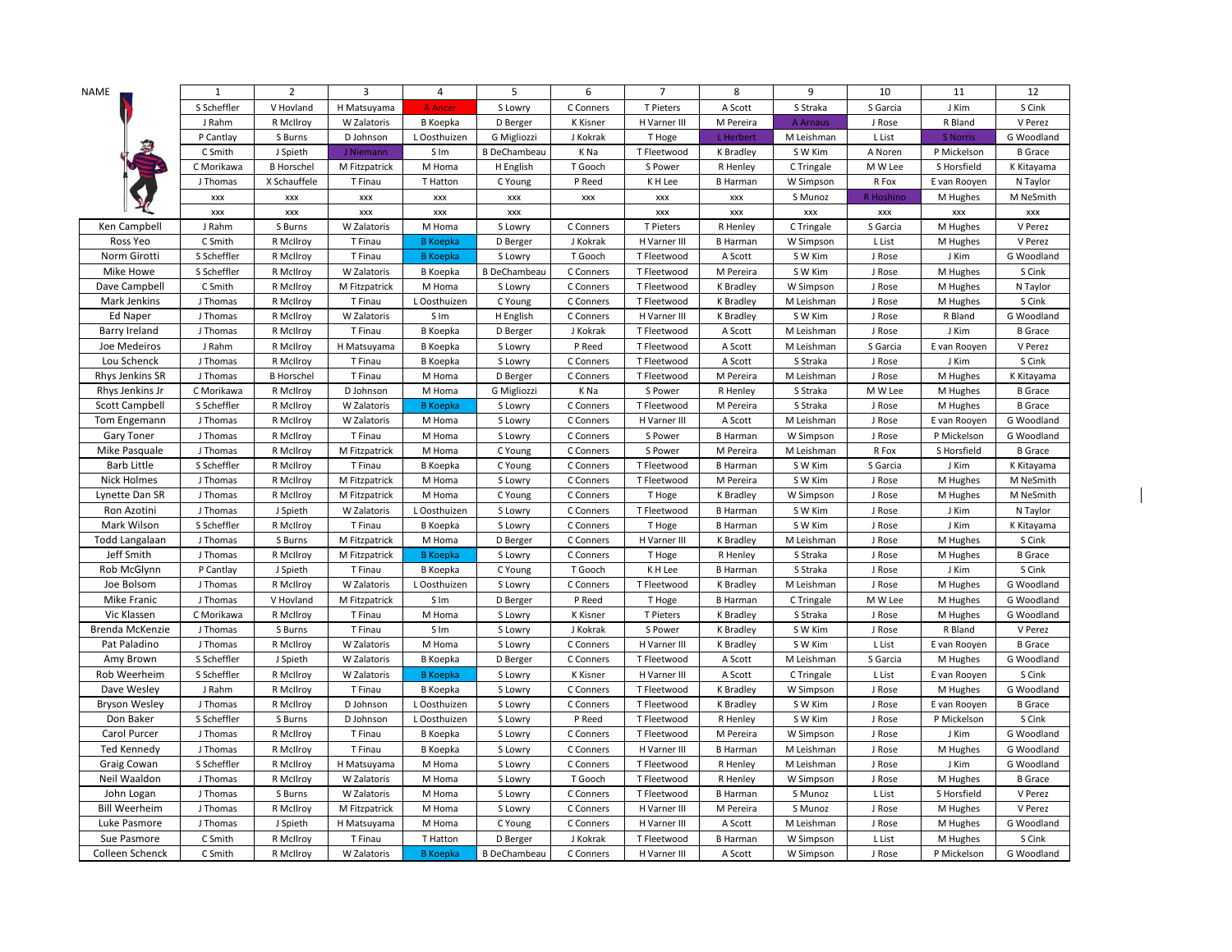| NAME                  | $\mathbf{1}$ | $\overline{2}$    | 3             | 4               | 5                   | 6         | $\overline{7}$       | 8                | 9          | 10                   | 11              | 12             |
|-----------------------|--------------|-------------------|---------------|-----------------|---------------------|-----------|----------------------|------------------|------------|----------------------|-----------------|----------------|
|                       | S Scheffler  | V Hovland         | H Matsuyama   | <b>A</b> Ancer  | S Lowry             | C Conners | T Pieters            | A Scott          | S Straka   | S Garcia             | J Kim           | S Cink         |
|                       | J Rahm       | R McIlroy         | W Zalatoris   | <b>B</b> Koepka | D Berger            | K Kisner  | H Varner III         | M Pereira        | A Arnaus   | J Rose               | R Bland         | V Perez        |
|                       | P Cantlay    | S Burns           | D Johnson     | L Oosthuizen    | G Migliozzi         | J Kokrak  | T Hoge               | L Herbert        | M Leishman | L List               | <b>S Norris</b> | G Woodland     |
|                       | C Smith      | J Spieth          | J Niemann     | S Im            | <b>B</b> DeChambeau | K Na      | T Fleetwood          | K Bradley        | S W Kim    | A Noren              | P Mickelson     | <b>B</b> Grace |
|                       | C Morikawa   | <b>B</b> Horschel | M Fitzpatrick | M Homa          | H English           | T Gooch   | S Power              | R Henley         | C Tringale | M W Lee              | S Horsfield     | K Kitayama     |
|                       | J Thomas     | X Schauffele      | T Finau       | T Hatton        | C Young             | P Reed    | K H Lee              | <b>B</b> Harman  | W Simpson  | R Fox                | E van Rooyen    | N Taylor       |
|                       | <b>XXX</b>   | <b>XXX</b>        | XXX           | <b>XXX</b>      | XXX                 | XXX       | XXX                  | XXX              | S Munoz    | R Hoshino            | M Hughes        | M NeSmith      |
|                       | XXX          | XXX               | XXX           | XXX             | XXX                 |           | $\pmb{\mathsf{XXX}}$ | XXX              | XXX        | $\pmb{\mathsf{XXX}}$ | XXX             | XXX            |
| Ken Campbell          | J Rahm       | S Burns           | W Zalatoris   | M Homa          | S Lowry             | C Conners | T Pieters            | R Henley         | C Tringale | S Garcia             | M Hughes        | V Perez        |
| Ross Yeo              | C Smith      | R McIlroy         | T Finau       | <b>B</b> Koepka | D Berger            | J Kokrak  | H Varner III         | <b>B</b> Harman  | W Simpson  | L List               | M Hughes        | V Perez        |
| Norm Girotti          | S Scheffler  | R McIlroy         | T Finau       | <b>B</b> Koepka | S Lowry             | T Gooch   | T Fleetwood          | A Scott          | S W Kim    | J Rose               | J Kim           | G Woodland     |
| Mike Howe             | S Scheffler  | R McIlroy         | W Zalatoris   | B Koepka        | <b>B</b> DeChambeau | C Conners | T Fleetwood          | M Pereira        | S W Kim    | J Rose               | M Hughes        | S Cink         |
| Dave Campbell         | C Smith      | R McIlroy         | M Fitzpatrick | M Homa          | S Lowry             | C Conners | T Fleetwood          | K Bradley        | W Simpson  | J Rose               | M Hughes        | N Taylor       |
| Mark Jenkins          | J Thomas     | R McIlroy         | T Finau       | L Oosthuizen    | C Young             | C Conners | T Fleetwood          | <b>K</b> Bradley | M Leishman | J Rose               | M Hughes        | S Cink         |
| Ed Naper              | J Thomas     | R McIlroy         | W Zalatoris   | S Im            | H English           | C Conners | H Varner III         | K Bradley        | S W Kim    | J Rose               | R Bland         | G Woodland     |
| Barry Ireland         | J Thomas     | R McIlroy         | T Finau       | <b>B</b> Koepka | D Berger            | J Kokrak  | T Fleetwood          | A Scott          | M Leishman | J Rose               | J Kim           | <b>B</b> Grace |
| Joe Medeiros          | J Rahm       | R McIlroy         | H Matsuyama   | <b>B</b> Koepka | S Lowry             | P Reed    | T Fleetwood          | A Scott          | M Leishman | S Garcia             | E van Rooyen    | V Perez        |
| Lou Schenck           | J Thomas     | R McIlroy         | T Finau       | B Koepka        | S Lowry             | C Conners | T Fleetwood          | A Scott          | S Straka   | J Rose               | J Kim           | S Cink         |
| Rhys Jenkins SR       | J Thomas     | <b>B</b> Horschel | T Finau       | M Homa          | D Berger            | C Conners | T Fleetwood          | M Pereira        | M Leishman | J Rose               | M Hughes        | K Kitayama     |
| Rhys Jenkins Jr       | C Morikawa   | R McIlroy         | D Johnson     | M Homa          | G Migliozzi         | K Na      | S Power              | R Henley         | S Straka   | M W Lee              | M Hughes        | <b>B</b> Grace |
| <b>Scott Campbell</b> | S Scheffler  | R McIlroy         | W Zalatoris   | <b>B</b> Koepka | S Lowry             | C Conners | T Fleetwood          | M Pereira        | S Straka   | J Rose               | M Hughes        | <b>B</b> Grace |
| Tom Engemann          | J Thomas     | R McIlroy         | W Zalatoris   | M Homa          | S Lowry             | C Conners | H Varner III         | A Scott          | M Leishman | J Rose               | E van Rooyen    | G Woodland     |
| Gary Toner            | J Thomas     | R McIlroy         | T Finau       | M Homa          | S Lowry             | C Conners | S Power              | <b>B</b> Harman  | W Simpson  | J Rose               | P Mickelson     | G Woodland     |
| Mike Pasquale         | J Thomas     | R McIlroy         | M Fitzpatrick | M Homa          | C Young             | C Conners | S Power              | M Pereira        | M Leishman | R Fox                | S Horsfield     | <b>B</b> Grace |
| <b>Barb Little</b>    | S Scheffler  | R McIlroy         | T Finau       | <b>B</b> Koepka | C Young             | C Conners | T Fleetwood          | <b>B</b> Harman  | S W Kim    | S Garcia             | J Kim           | K Kitayama     |
| <b>Nick Holmes</b>    | J Thomas     | R McIlroy         | M Fitzpatrick | M Homa          | S Lowry             | C Conners | T Fleetwood          | M Pereira        | S W Kim    | J Rose               | M Hughes        | M NeSmith      |
| Lynette Dan SR        | J Thomas     | R McIlroy         | M Fitzpatrick | M Homa          | C Young             | C Conners | T Hoge               | K Bradley        | W Simpson  | J Rose               | M Hughes        | M NeSmith      |
| Ron Azotini           | J Thomas     | J Spieth          | W Zalatoris   | L Oosthuizen    | S Lowry             | C Conners | T Fleetwood          | <b>B</b> Harman  | S W Kim    | J Rose               | J Kim           | N Taylor       |
| Mark Wilson           | S Scheffler  | R McIlroy         | T Finau       | B Koepka        | S Lowry             | C Conners | T Hoge               | <b>B</b> Harman  | S W Kim    | J Rose               | J Kim           | K Kitayama     |
| <b>Todd Langalaan</b> | J Thomas     | S Burns           | M Fitzpatrick | M Homa          | D Berger            | C Conners | H Varner III         | K Bradley        | M Leishman | J Rose               | M Hughes        | S Cink         |
| Jeff Smith            | J Thomas     | R McIlroy         | M Fitzpatrick | <b>B</b> Koepka | S Lowry             | C Conners | T Hoge               | R Henley         | S Straka   | J Rose               | M Hughes        | <b>B</b> Grace |
| Rob McGlynn           | P Cantlay    | J Spieth          | T Finau       | <b>B</b> Koepka | C Young             | T Gooch   | K H Lee              | <b>B</b> Harman  | S Straka   | J Rose               | J Kim           | S Cink         |
| Joe Bolsom            | J Thomas     | R McIlroy         | W Zalatoris   | L Oosthuizen    | S Lowry             | C Conners | T Fleetwood          | <b>K</b> Bradley | M Leishman | J Rose               | M Hughes        | G Woodland     |
| <b>Mike Franic</b>    | J Thomas     | V Hovland         | M Fitzpatrick | S Im            | D Berger            | P Reed    | T Hoge               | <b>B</b> Harman  | C Tringale | M W Lee              | M Hughes        | G Woodland     |
| Vic Klassen           | C Morikawa   | R McIlroy         | T Finau       | M Homa          | S Lowry             | K Kisner  | T Pieters            | <b>K</b> Bradley | S Straka   | J Rose               | M Hughes        | G Woodland     |
| Brenda McKenzie       | J Thomas     | S Burns           | T Finau       | S Im            | S Lowry             | J Kokrak  | S Power              | K Bradley        | S W Kim    | J Rose               | R Bland         | V Perez        |
| Pat Paladino          | J Thomas     | R McIlroy         | W Zalatoris   | M Homa          | S Lowry             | C Conners | H Varner III         | K Bradley        | S W Kim    | L List               | E van Rooyen    | <b>B</b> Grace |
| Amy Brown             | S Scheffler  | J Spieth          | W Zalatoris   | <b>B</b> Koepka | D Berger            | C Conners | T Fleetwood          | A Scott          | M Leishman | S Garcia             | M Hughes        | G Woodland     |
| Rob Weerheim          | S Scheffler  | R McIlroy         | W Zalatoris   | <b>B</b> Koepka | S Lowry             | K Kisner  | H Varner III         | A Scott          | C Tringale | L List               | E van Rooyen    | S Cink         |
| Dave Wesley           | J Rahm       | R McIlroy         | T Finau       | <b>B</b> Koepka | S Lowry             | C Conners | T Fleetwood          | K Bradley        | W Simpson  | J Rose               | M Hughes        | G Woodland     |
| <b>Bryson Wesley</b>  | J Thomas     | R McIlroy         | D Johnson     | L Oosthuizen    | S Lowry             | C Conners | T Fleetwood          | K Bradley        | S W Kim    | J Rose               | E van Rooyen    | <b>B</b> Grace |
| Don Baker             | S Scheffler  | S Burns           | D Johnson     | L Oosthuizen    | S Lowry             | P Reed    | T Fleetwood          | R Henley         | S W Kim    | J Rose               | P Mickelson     | S Cink         |
| Carol Purcer          | J Thomas     | R McIlroy         | T Finau       | <b>B</b> Koepka | S Lowry             | C Conners | T Fleetwood          | M Pereira        | W Simpson  | J Rose               | J Kim           | G Woodland     |
| Ted Kennedy           | J Thomas     | R McIlroy         | T Finau       | <b>B</b> Koepka | S Lowry             | C Conners | H Varner III         | <b>B</b> Harman  | M Leishman | J Rose               | M Hughes        | G Woodland     |
| Graig Cowan           | S Scheffler  | R McIlroy         | H Matsuyama   | M Homa          | S Lowry             | C Conners | T Fleetwood          | R Henley         | M Leishman | J Rose               | J Kim           | G Woodland     |
| Neil Waaldon          | J Thomas     | R McIlroy         | W Zalatoris   | M Homa          | S Lowry             | T Gooch   | T Fleetwood          | R Henley         | W Simpson  | J Rose               | M Hughes        | <b>B</b> Grace |
| John Logan            | J Thomas     | S Burns           | W Zalatoris   | M Homa          | S Lowry             | C Conners | T Fleetwood          | <b>B</b> Harman  | S Munoz    | L List               | S Horsfield     | V Perez        |
| <b>Bill Weerheim</b>  | J Thomas     | R McIlroy         | M Fitzpatrick | M Homa          | S Lowry             | C Conners | H Varner III         | M Pereira        | S Munoz    | J Rose               | M Hughes        | V Perez        |
| Luke Pasmore          | J Thomas     | J Spieth          | H Matsuyama   | M Homa          | C Young             | C Conners | H Varner III         | A Scott          | M Leishman | J Rose               | M Hughes        | G Woodland     |
| Sue Pasmore           | C Smith      | R McIlroy         | T Finau       | T Hatton        | D Berger            | J Kokrak  | T Fleetwood          | <b>B</b> Harman  | W Simpson  | L List               | M Hughes        | S Cink         |
| Colleen Schenck       | C Smith      | R McIlroy         | W Zalatoris   | <b>B</b> Koepka | <b>B</b> DeChambeau | C Conners | H Varner III         | A Scott          | W Simpson  | J Rose               | P Mickelson     | G Woodland     |

 $\overline{\phantom{a}}$